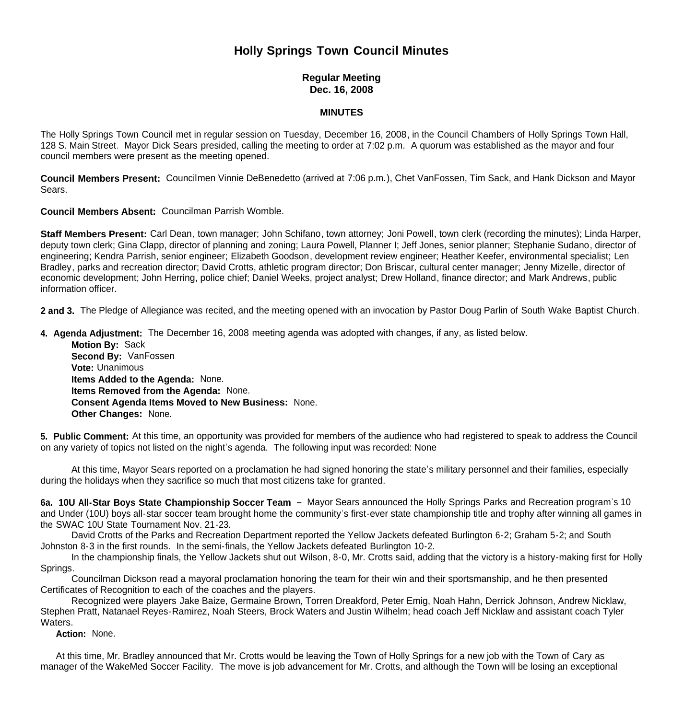## **Holly Springs Town Council Minutes**

## **Regular Meeting Dec. 16, 2008**

## **MINUTES**

The Holly Springs Town Council met in regular session on Tuesday, December 16, 2008, in the Council Chambers of Holly Springs Town Hall, 128 S. Main Street. Mayor Dick Sears presided, calling the meeting to order at 7:02 p.m. A quorum was established as the mayor and four council members were present as the meeting opened.

**Council Members Present:** Councilmen Vinnie DeBenedetto (arrived at 7:06 p.m.), Chet VanFossen, Tim Sack, and Hank Dickson and Mayor Sears.

**Council Members Absent:** Councilman Parrish Womble.

**Staff Members Present:** Carl Dean, town manager; John Schifano, town attorney; Joni Powell, town clerk (recording the minutes); Linda Harper, deputy town clerk; Gina Clapp, director of planning and zoning; Laura Powell, Planner I; Jeff Jones, senior planner; Stephanie Sudano, director of engineering; Kendra Parrish, senior engineer; Elizabeth Goodson, development review engineer; Heather Keefer, environmental specialist; Len Bradley, parks and recreation director; David Crotts, athletic program director; Don Briscar, cultural center manager; Jenny Mizelle, director of economic development; John Herring, police chief; Daniel Weeks, project analyst; Drew Holland, finance director; and Mark Andrews, public information officer.

**2 and 3.** The Pledge of Allegiance was recited, and the meeting opened with an invocation by Pastor Doug Parlin of South Wake Baptist Church.

**4. Agenda Adjustment:** The December 16, 2008 meeting agenda was adopted with changes, if any, as listed below.

 **Motion By:** Sack **Second By:** VanFossen **Vote:** Unanimous  **Items Added to the Agenda:** None. **Items Removed from the Agenda:** None. **Consent Agenda Items Moved to New Business:** None. **Other Changes:** None.

**5. Public Comment:** At this time, an opportunity was provided for members of the audience who had registered to speak to address the Council on any variety of topics not listed on the night's agenda. The following input was recorded: None

 At this time, Mayor Sears reported on a proclamation he had signed honoring the state's military personnel and their families, especially during the holidays when they sacrifice so much that most citizens take for granted.

**6a. 10U All-Star Boys State Championship Soccer Team** – Mayor Sears announced the Holly Springs Parks and Recreation program's 10 and Under (10U) boys all-star soccer team brought home the community's first-ever state championship title and trophy after winning all games in the SWAC 10U State Tournament Nov. 21-23.

 David Crotts of the Parks and Recreation Department reported the Yellow Jackets defeated Burlington 6-2; Graham 5-2; and South Johnston 8-3 in the first rounds. In the semi-finals, the Yellow Jackets defeated Burlington 10-2.

 In the championship finals, the Yellow Jackets shut out Wilson, 8-0, Mr. Crotts said, adding that the victory is a history-making first for Holly Springs.

Councilman Dickson read a mayoral proclamation honoring the team for their win and their sportsmanship, and he then presented Certificates of Recognition to each of the coaches and the players.

 Recognized were players Jake Baize, Germaine Brown, Torren Dreakford, Peter Emig, Noah Hahn, Derrick Johnson, Andrew Nicklaw, Stephen Pratt, Natanael Reyes-Ramirez, Noah Steers, Brock Waters and Justin Wilhelm; head coach Jeff Nicklaw and assistant coach Tyler Waters.

 **Action:** None.

 At this time, Mr. Bradley announced that Mr. Crotts would be leaving the Town of Holly Springs for a new job with the Town of Cary as manager of the WakeMed Soccer Facility. The move is job advancement for Mr. Crotts, and although the Town will be losing an exceptional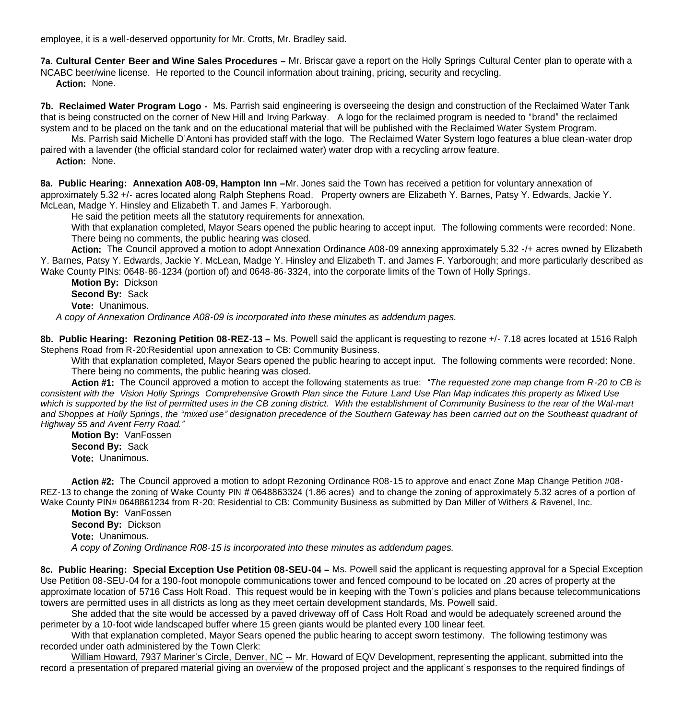employee, it is a well-deserved opportunity for Mr. Crotts, Mr. Bradley said.

**7a. Cultural Center Beer and Wine Sales Procedures –** Mr. Briscar gave a report on the Holly Springs Cultural Center plan to operate with a NCABC beer/wine license. He reported to the Council information about training, pricing, security and recycling.

 **Action:** None.

**7b. Reclaimed Water Program Logo -** Ms. Parrish said engineering is overseeing the design and construction of the Reclaimed Water Tank that is being constructed on the corner of New Hill and Irving Parkway. A logo for the reclaimed program is needed to "brand" the reclaimed system and to be placed on the tank and on the educational material that will be published with the Reclaimed Water System Program.

 Ms. Parrish said Michelle D'Antoni has provided staff with the logo. The Reclaimed Water System logo features a blue clean-water drop paired with a lavender (the official standard color for reclaimed water) water drop with a recycling arrow feature.

 **Action:** None.

**8a. Public Hearing: Annexation A08-09, Hampton Inn –**Mr. Jones said the Town has received a petition for voluntary annexation of approximately 5.32 +/- acres located along Ralph Stephens Road. Property owners are Elizabeth Y. Barnes, Patsy Y. Edwards, Jackie Y. McLean, Madge Y. Hinsley and Elizabeth T. and James F. Yarborough.

He said the petition meets all the statutory requirements for annexation.

With that explanation completed, Mayor Sears opened the public hearing to accept input. The following comments were recorded: None. There being no comments, the public hearing was closed.

**Action:** The Council approved a motion to adopt Annexation Ordinance A08-09 annexing approximately 5.32 -/+ acres owned by Elizabeth Y. Barnes, Patsy Y. Edwards, Jackie Y. McLean, Madge Y. Hinsley and Elizabeth T. and James F. Yarborough; and more particularly described as Wake County PINs: 0648-86-1234 (portion of) and 0648-86-3324, into the corporate limits of the Town of Holly Springs.

**Motion By:** Dickson **Second By:** Sack **Vote:** Unanimous.

 *A copy of Annexation Ordinance A08-09 is incorporated into these minutes as addendum pages.*

**8b. Public Hearing: Rezoning Petition 08-REZ-13 –** Ms. Powell said the applicant is requesting to rezone +/- 7.18 acres located at 1516 Ralph Stephens Road from R-20:Residential upon annexation to CB: Community Business.

With that explanation completed, Mayor Sears opened the public hearing to accept input. The following comments were recorded: None. There being no comments, the public hearing was closed.

**Action #1:** The Council approved a motion to accept the following statements as true: *"The requested zone map change from R-20 to CB is consistent with the Vision Holly Springs Comprehensive Growth Plan since the Future Land Use Plan Map indicates this property as Mixed Use which is supported by the list of permitted uses in the CB zoning district. With the establishment of Community Business to the rear of the Wal-mart and Shoppes at Holly Springs, the "mixed use" designation precedence of the Southern Gateway has been carried out on the Southeast quadrant of Highway 55 and Avent Ferry Road."*

**Motion By:** VanFossen **Second By:** Sack **Vote:** Unanimous.

**Action #2:** The Council approved a motion to adopt Rezoning Ordinance R08-15 to approve and enact Zone Map Change Petition #08- REZ-13 to change the zoning of Wake County PIN # 0648863324 (1.86 acres) and to change the zoning of approximately 5.32 acres of a portion of Wake County PIN# 0648861234 from R-20: Residential to CB: Community Business as submitted by Dan Miller of Withers & Ravenel, Inc.

**Motion By:** VanFossen **Second By:** Dickson **Vote:** Unanimous. *A copy of Zoning Ordinance R08-15 is incorporated into these minutes as addendum pages.*

**8c. Public Hearing: Special Exception Use Petition 08-SEU-04 –** Ms. Powell said the applicant is requesting approval for a Special Exception Use Petition 08-SEU-04 for a 190-foot monopole communications tower and fenced compound to be located on .20 acres of property at the approximate location of 5716 Cass Holt Road. This request would be in keeping with the Town's policies and plans because telecommunications towers are permitted uses in all districts as long as they meet certain development standards, Ms. Powell said.

 She added that the site would be accessed by a paved driveway off of Cass Holt Road and would be adequately screened around the perimeter by a 10-foot wide landscaped buffer where 15 green giants would be planted every 100 linear feet.

With that explanation completed, Mayor Sears opened the public hearing to accept sworn testimony. The following testimony was recorded under oath administered by the Town Clerk:

William Howard, 7937 Mariner's Circle, Denver, NC -- Mr. Howard of EQV Development, representing the applicant, submitted into the record a presentation of prepared material giving an overview of the proposed project and the applicant's responses to the required findings of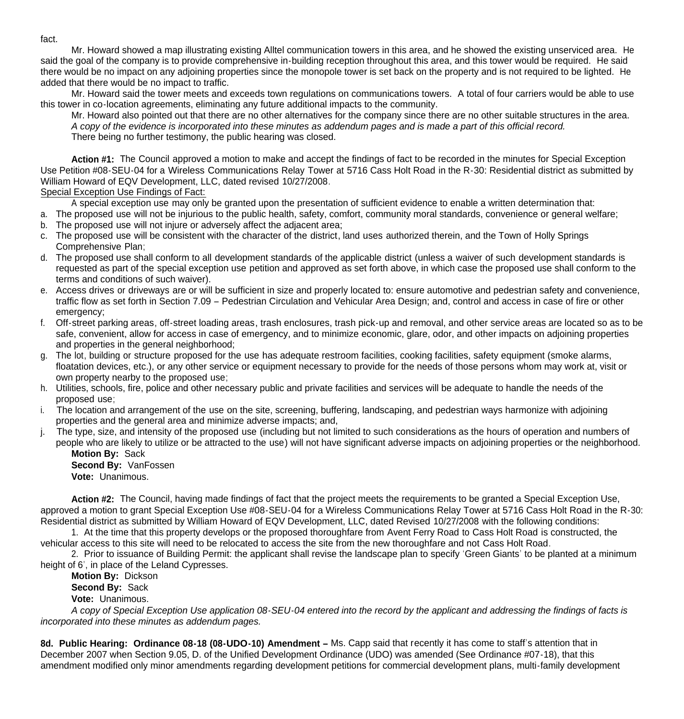Mr. Howard showed a map illustrating existing Alltel communication towers in this area, and he showed the existing unserviced area. He said the goal of the company is to provide comprehensive in-building reception throughout this area, and this tower would be required. He said there would be no impact on any adjoining properties since the monopole tower is set back on the property and is not required to be lighted. He added that there would be no impact to traffic.

Mr. Howard said the tower meets and exceeds town regulations on communications towers. A total of four carriers would be able to use this tower in co-location agreements, eliminating any future additional impacts to the community.

Mr. Howard also pointed out that there are no other alternatives for the company since there are no other suitable structures in the area. *A copy of the evidence is incorporated into these minutes as addendum pages and is made a part of this official record.* There being no further testimony, the public hearing was closed.

Action #1: The Council approved a motion to make and accept the findings of fact to be recorded in the minutes for Special Exception Use Petition #08-SEU-04 for a Wireless Communications Relay Tower at 5716 Cass Holt Road in the R-30: Residential district as submitted by William Howard of EQV Development, LLC, dated revised 10/27/2008.

Special Exception Use Findings of Fact:

A special exception use may only be granted upon the presentation of sufficient evidence to enable a written determination that:

a. The proposed use will not be injurious to the public health, safety, comfort, community moral standards, convenience or general welfare;

- b. The proposed use will not injure or adversely affect the adjacent area;
- c. The proposed use will be consistent with the character of the district, land uses authorized therein, and the Town of Holly Springs Comprehensive Plan;
- d. The proposed use shall conform to all development standards of the applicable district (unless a waiver of such development standards is requested as part of the special exception use petition and approved as set forth above, in which case the proposed use shall conform to the terms and conditions of such waiver).
- e. Access drives or driveways are or will be sufficient in size and properly located to: ensure automotive and pedestrian safety and convenience, traffic flow as set forth in Section 7.09 – Pedestrian Circulation and Vehicular Area Design; and, control and access in case of fire or other emergency;
- f. Off-street parking areas, off-street loading areas, trash enclosures, trash pick-up and removal, and other service areas are located so as to be safe, convenient, allow for access in case of emergency, and to minimize economic, glare, odor, and other impacts on adjoining properties and properties in the general neighborhood;
- g. The lot, building or structure proposed for the use has adequate restroom facilities, cooking facilities, safety equipment (smoke alarms, floatation devices, etc.), or any other service or equipment necessary to provide for the needs of those persons whom may work at, visit or own property nearby to the proposed use;
- h. Utilities, schools, fire, police and other necessary public and private facilities and services will be adequate to handle the needs of the proposed use;
- i. The location and arrangement of the use on the site, screening, buffering, landscaping, and pedestrian ways harmonize with adjoining properties and the general area and minimize adverse impacts; and,
- j. The type, size, and intensity of the proposed use (including but not limited to such considerations as the hours of operation and numbers of people who are likely to utilize or be attracted to the use) will not have significant adverse impacts on adjoining properties or the neighborhood.

**Motion By:** Sack **Second By:** VanFossen **Vote:** Unanimous.

**Action #2:** The Council, having made findings of fact that the project meets the requirements to be granted a Special Exception Use, approved a motion to grant Special Exception Use #08-SEU-04 for a Wireless Communications Relay Tower at 5716 Cass Holt Road in the R-30: Residential district as submitted by William Howard of EQV Development, LLC, dated Revised 10/27/2008 with the following conditions:

 1. At the time that this property develops or the proposed thoroughfare from Avent Ferry Road to Cass Holt Road is constructed, the vehicular access to this site will need to be relocated to access the site from the new thoroughfare and not Cass Holt Road.

 2. Prior to issuance of Building Permit: the applicant shall revise the landscape plan to specify 'Green Giants' to be planted at a minimum height of 6', in place of the Leland Cypresses.

**Motion By:** Dickson

**Second By:** Sack

**Vote:** Unanimous.

*A copy of Special Exception Use application 08-SEU-04 entered into the record by the applicant and addressing the findings of facts is incorporated into these minutes as addendum pages.*

**8d. Public Hearing: Ordinance 08-18 (08-UDO-10) Amendment –** Ms. Capp said that recently it has come to staff's attention that in December 2007 when Section 9.05, D. of the Unified Development Ordinance (UDO) was amended (See Ordinance #07-18), that this amendment modified only minor amendments regarding development petitions for commercial development plans, multi-family development

fact.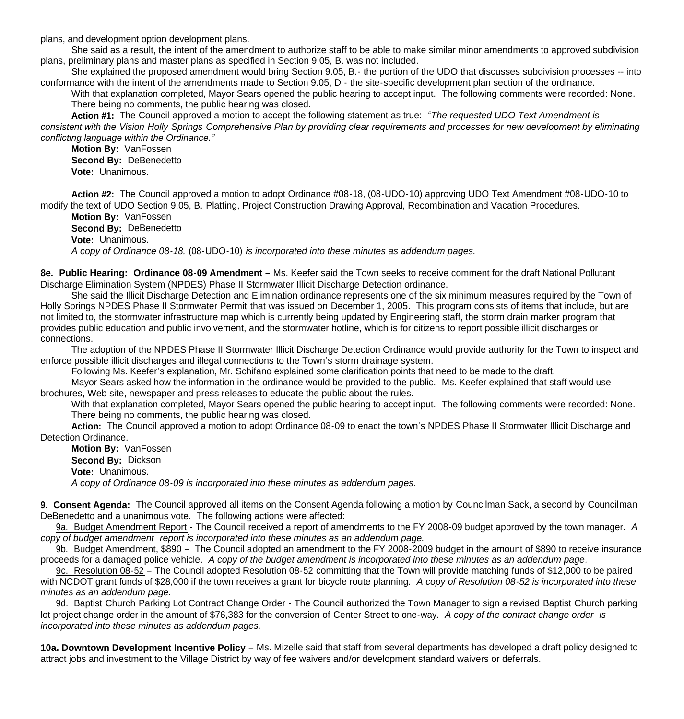plans, and development option development plans.

 She said as a result, the intent of the amendment to authorize staff to be able to make similar minor amendments to approved subdivision plans, preliminary plans and master plans as specified in Section 9.05, B. was not included.

 She explained the proposed amendment would bring Section 9.05, B.- the portion of the UDO that discusses subdivision processes -- into conformance with the intent of the amendments made to Section 9.05, D - the site-specific development plan section of the ordinance.

With that explanation completed, Mayor Sears opened the public hearing to accept input. The following comments were recorded: None. There being no comments, the public hearing was closed.

**Action #1:** The Council approved a motion to accept the following statement as true: *"The requested UDO Text Amendment is consistent with the Vision Holly Springs Comprehensive Plan by providing clear requirements and processes for new development by eliminating conflicting language within the Ordinance."*

**Motion By:** VanFossen **Second By:** DeBenedetto **Vote:** Unanimous.

**Action #2:** The Council approved a motion to adopt Ordinance #08-18, (08-UDO-10) approving UDO Text Amendment #08-UDO-10 to modify the text of UDO Section 9.05, B. Platting, Project Construction Drawing Approval, Recombination and Vacation Procedures.

**Motion By:** VanFossen **Second By:** DeBenedetto **Vote:** Unanimous. *A copy of Ordinance 08-18,* (08-UDO-10) *is incorporated into these minutes as addendum pages.*

**8e. Public Hearing: Ordinance 08-09 Amendment –** Ms. Keefer said the Town seeks to receive comment for the draft National Pollutant Discharge Elimination System (NPDES) Phase II Stormwater Illicit Discharge Detection ordinance.

 She said the Illicit Discharge Detection and Elimination ordinance represents one of the six minimum measures required by the Town of Holly Springs NPDES Phase II Stormwater Permit that was issued on December 1, 2005. This program consists of items that include, but are not limited to, the stormwater infrastructure map which is currently being updated by Engineering staff, the storm drain marker program that provides public education and public involvement, and the stormwater hotline, which is for citizens to report possible illicit discharges or connections.

 The adoption of the NPDES Phase II Stormwater Illicit Discharge Detection Ordinance would provide authority for the Town to inspect and enforce possible illicit discharges and illegal connections to the Town's storm drainage system.

Following Ms. Keefer's explanation, Mr. Schifano explained some clarification points that need to be made to the draft.

 Mayor Sears asked how the information in the ordinance would be provided to the public. Ms. Keefer explained that staff would use brochures, Web site, newspaper and press releases to educate the public about the rules.

With that explanation completed, Mayor Sears opened the public hearing to accept input. The following comments were recorded: None. There being no comments, the public hearing was closed.

**Action:** The Council approved a motion to adopt Ordinance 08-09 to enact the town's NPDES Phase II Stormwater Illicit Discharge and Detection Ordinance.

**Motion By:** VanFossen **Second By:** Dickson **Vote:** Unanimous. *A copy of Ordinance 08-09 is incorporated into these minutes as addendum pages.*

**9. Consent Agenda:** The Council approved all items on the Consent Agenda following a motion by Councilman Sack, a second by Councilman DeBenedetto and a unanimous vote. The following actions were affected:

 9a. Budget Amendment Report - The Council received a report of amendments to the FY 2008-09 budget approved by the town manager. *A copy of budget amendment report is incorporated into these minutes as an addendum page.* 

9b. Budget Amendment, \$890 – The Council adopted an amendment to the FY 2008-2009 budget in the amount of \$890 to receive insurance proceeds for a damaged police vehicle. *A copy of the budget amendment is incorporated into these minutes as an addendum page.*

 9c. Resolution 08-52 – The Council adopted Resolution 08-52 committing that the Town will provide matching funds of \$12,000 to be paired with NCDOT grant funds of \$28,000 if the town receives a grant for bicycle route planning. *A copy of Resolution 08-52 is incorporated into these minutes as an addendum page.*

9d. Baptist Church Parking Lot Contract Change Order - The Council authorized the Town Manager to sign a revised Baptist Church parking lot project change order in the amount of \$76,383 for the conversion of Center Street to one-way. *A copy of the contract change order is incorporated into these minutes as addendum pages.*

**10a. Downtown Development Incentive Policy** – Ms. Mizelle said that staff from several departments has developed a draft policy designed to attract jobs and investment to the Village District by way of fee waivers and/or development standard waivers or deferrals.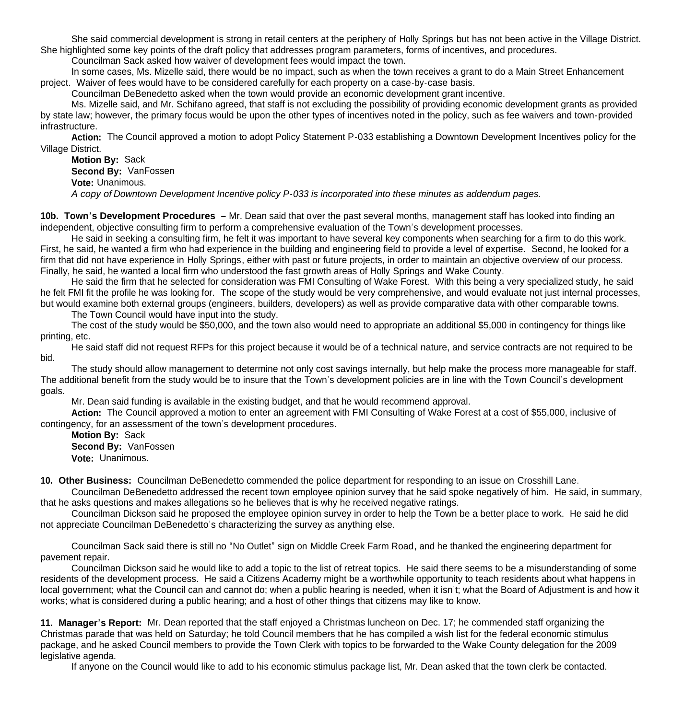She said commercial development is strong in retail centers at the periphery of Holly Springs but has not been active in the Village District. She highlighted some key points of the draft policy that addresses program parameters, forms of incentives, and procedures.

Councilman Sack asked how waiver of development fees would impact the town.

 In some cases, Ms. Mizelle said, there would be no impact, such as when the town receives a grant to do a Main Street Enhancement project. Waiver of fees would have to be considered carefully for each property on a case-by-case basis.

Councilman DeBenedetto asked when the town would provide an economic development grant incentive.

 Ms. Mizelle said, and Mr. Schifano agreed, that staff is not excluding the possibility of providing economic development grants as provided by state law; however, the primary focus would be upon the other types of incentives noted in the policy, such as fee waivers and town-provided infrastructure.

 **Action:** The Council approved a motion to adopt Policy Statement P-033 establishing a Downtown Development Incentives policy for the Village District.

 **Motion By:** Sack **Second By:** VanFossen **Vote:** Unanimous.  *A copy of Downtown Development Incentive policy P-033 is incorporated into these minutes as addendum pages.*

**10b. Town's Development Procedures –** Mr. Dean said that over the past several months, management staff has looked into finding an independent, objective consulting firm to perform a comprehensive evaluation of the Town's development processes.

 He said in seeking a consulting firm, he felt it was important to have several key components when searching for a firm to do this work. First, he said, he wanted a firm who had experience in the building and engineering field to provide a level of expertise. Second, he looked for a firm that did not have experience in Holly Springs, either with past or future projects, in order to maintain an objective overview of our process. Finally, he said, he wanted a local firm who understood the fast growth areas of Holly Springs and Wake County.

 He said the firm that he selected for consideration was FMI Consulting of Wake Forest. With this being a very specialized study, he said he felt FMI fit the profile he was looking for. The scope of the study would be very comprehensive, and would evaluate not just internal processes, but would examine both external groups (engineers, builders, developers) as well as provide comparative data with other comparable towns.

The Town Council would have input into the study.

 The cost of the study would be \$50,000, and the town also would need to appropriate an additional \$5,000 in contingency for things like printing, etc.

 He said staff did not request RFPs for this project because it would be of a technical nature, and service contracts are not required to be bid.

 The study should allow management to determine not only cost savings internally, but help make the process more manageable for staff. The additional benefit from the study would be to insure that the Town's development policies are in line with the Town Council's development goals.

Mr. Dean said funding is available in the existing budget, and that he would recommend approval.

 **Action:** The Council approved a motion to enter an agreement with FMI Consulting of Wake Forest at a cost of \$55,000, inclusive of contingency, for an assessment of the town's development procedures.

**Motion By:** Sack **Second By:** VanFossen **Vote:** Unanimous.

**10. Other Business:** Councilman DeBenedetto commended the police department for responding to an issue on Crosshill Lane.

 Councilman DeBenedetto addressed the recent town employee opinion survey that he said spoke negatively of him. He said, in summary, that he asks questions and makes allegations so he believes that is why he received negative ratings.

 Councilman Dickson said he proposed the employee opinion survey in order to help the Town be a better place to work. He said he did not appreciate Councilman DeBenedetto's characterizing the survey as anything else.

 Councilman Sack said there is still no "No Outlet" sign on Middle Creek Farm Road, and he thanked the engineering department for pavement repair.

 Councilman Dickson said he would like to add a topic to the list of retreat topics. He said there seems to be a misunderstanding of some residents of the development process. He said a Citizens Academy might be a worthwhile opportunity to teach residents about what happens in local government; what the Council can and cannot do; when a public hearing is needed, when it isn't; what the Board of Adjustment is and how it works; what is considered during a public hearing; and a host of other things that citizens may like to know.

**11. Manager's Report:** Mr. Dean reported that the staff enjoyed a Christmas luncheon on Dec. 17; he commended staff organizing the Christmas parade that was held on Saturday; he told Council members that he has compiled a wish list for the federal economic stimulus package, and he asked Council members to provide the Town Clerk with topics to be forwarded to the Wake County delegation for the 2009 legislative agenda.

If anyone on the Council would like to add to his economic stimulus package list, Mr. Dean asked that the town clerk be contacted.